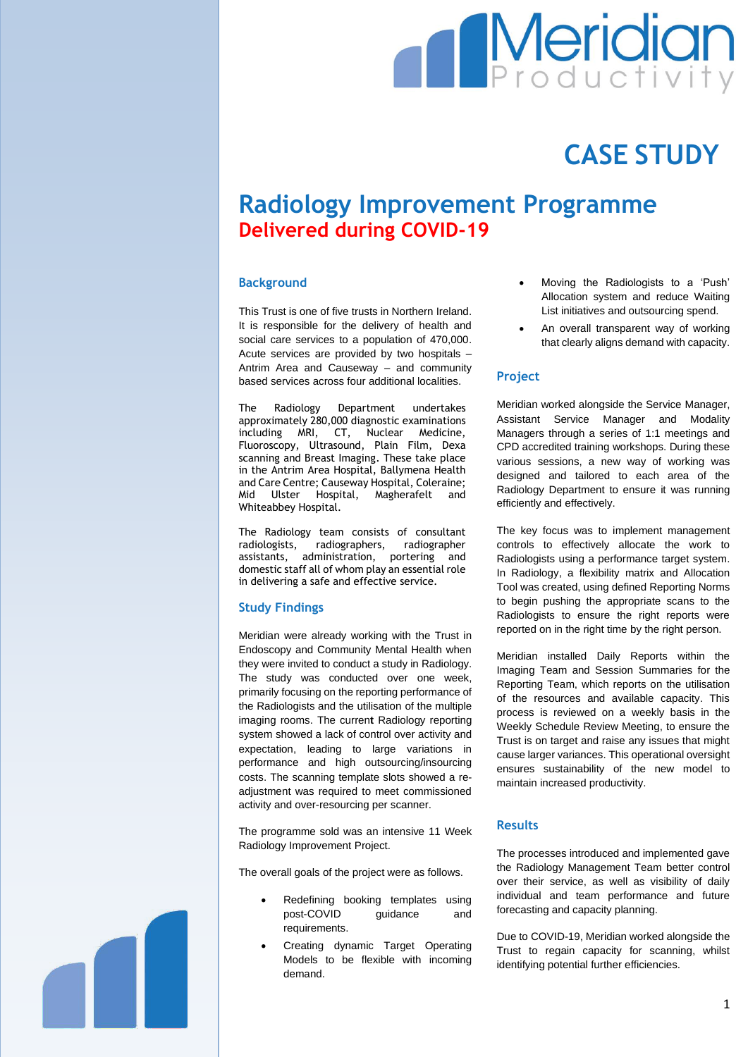# **Meridian**

## **CASE STUDY**

### **Radiology Improvement Programme Delivered during COVID-19**

#### **Background**

This Trust is one of five trusts in Northern Ireland. It is responsible for the delivery of health and social care services to a population of 470,000. Acute services are provided by two hospitals – Antrim Area and Causeway – and community based services across four additional localities.

The Radiology Department undertakes approximately 280,000 diagnostic examinations including MRI, CT, Nuclear Medicine, Fluoroscopy, Ultrasound, Plain Film, Dexa scanning and Breast Imaging. These take place in the Antrim Area Hospital, Ballymena Health and Care Centre; Causeway Hospital, Coleraine; Mid Ulster Hospital, Magherafelt and Whiteabbey Hospital.

The Radiology team consists of consultant radiologists, radiographers, radiographer assistants, administration, portering and domestic staff all of whom play an essential role in delivering a safe and effective service.

#### **Study Findings**

Meridian were already working with the Trust in Endoscopy and Community Mental Health when they were invited to conduct a study in Radiology. The study was conducted over one week, primarily focusing on the reporting performance of the Radiologists and the utilisation of the multiple imaging rooms. The curren**t** Radiology reporting system showed a lack of control over activity and expectation, leading to large variations in performance and high outsourcing/insourcing costs. The scanning template slots showed a readjustment was required to meet commissioned activity and over-resourcing per scanner.

The programme sold was an intensive 11 Week Radiology Improvement Project.

The overall goals of the project were as follows.

- Redefining booking templates using post-COVID guidance and requirements.
- Creating dynamic Target Operating Models to be flexible with incoming demand.
- Moving the Radiologists to a 'Push' Allocation system and reduce Waiting List initiatives and outsourcing spend.
- An overall transparent way of working that clearly aligns demand with capacity.

#### **Project**

Meridian worked alongside the Service Manager, Assistant Service Manager and Modality Managers through a series of 1:1 meetings and CPD accredited training workshops. During these various sessions, a new way of working was designed and tailored to each area of the Radiology Department to ensure it was running efficiently and effectively.

The key focus was to implement management controls to effectively allocate the work to Radiologists using a performance target system. In Radiology, a flexibility matrix and Allocation Tool was created, using defined Reporting Norms to begin pushing the appropriate scans to the Radiologists to ensure the right reports were reported on in the right time by the right person.

Meridian installed Daily Reports within the Imaging Team and Session Summaries for the Reporting Team, which reports on the utilisation of the resources and available capacity. This process is reviewed on a weekly basis in the Weekly Schedule Review Meeting, to ensure the Trust is on target and raise any issues that might cause larger variances. This operational oversight ensures sustainability of the new model to maintain increased productivity.

#### **Results**

The processes introduced and implemented gave the Radiology Management Team better control over their service, as well as visibility of daily individual and team performance and future forecasting and capacity planning.

Due to COVID-19, Meridian worked alongside the Trust to regain capacity for scanning, whilst identifying potential further efficiencies.